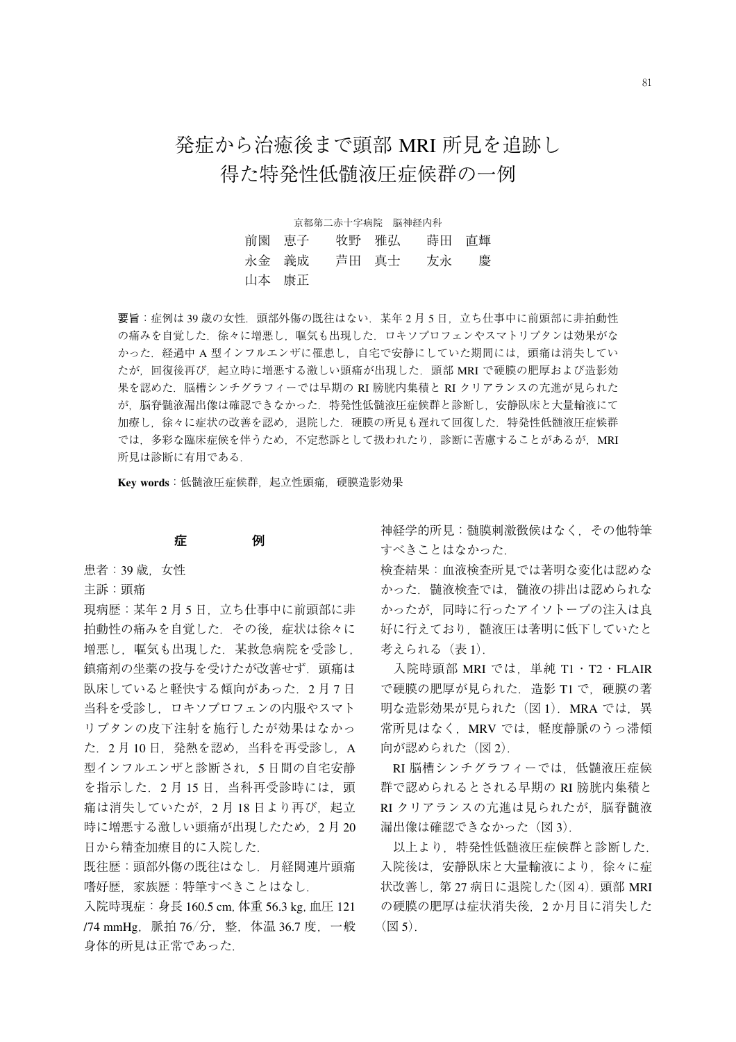# 発症から治癒後まで頭部 MRI 所見を追跡し 得た特発性低髄液圧症候群の一例

京都第二赤十字病院 脳神経内科 前園 恵子 牧野 雅弘 蒔田 直輝 永金 義成 芦田 真士 友永 慶 山本 康正

要旨:症例は39歳の女性. 頭部外傷の既往はない. 某年2月5日, 立ち仕事中に前頭部に非拍動性 の痛みを自覚した.徐々に増悪し,嘔気も出現した.ロキソプロフェンやスマトリプタンは効果がな かった.経過中 A 型インフルエンザに罹患し,自宅で安静にしていた期間には,頭痛は消失してい たが、回復後再び、起立時に増悪する激しい頭痛が出現した. 頭部 MRI で硬膜の肥厚および造影効 果を認めた.脳槽シンチグラフィーでは早期の RI 膀胱内集積と RI クリアランスの亢進が見られた が,脳脊髄液漏出像は確認できなかった.特発性低髄液圧症候群と診断し,安静臥床と大量輸液にて 加療し、徐々に症状の改善を認め、退院した、硬膜の所見も遅れて回復した.特発性低髄液圧症候群 では,多彩な臨床症候を伴うため,不定愁訴として扱われたり,診断に苦慮することがあるが,MRI 所見は診断に有用である.

**Key words**:低髄液圧症候群,起立性頭痛,硬膜造影効果

#### **症 例**

- 患者: 39 歳, 女性
- 主訴:頭痛

現病歴:某年2月5日,立ち仕事中に前頭部に非 拍動性の痛みを自覚した.その後,症状は徐々に 増悪し,嘔気も出現した.某救急病院を受診し, 鎮痛剤の坐薬の投与を受けたが改善せず. 頭痛は 臥床していると軽快する傾向があった. 2月7日 当科を受診し,ロキソプロフェンの内服やスマト リプタンの皮下注射を施行したが効果はなかっ た.2 月 10 日,発熱を認め,当科を再受診し,A 型インフルエンザと診断され,5 日間の自宅安静 を指示した.2 月 15 日,当科再受診時には,頭 痛は消失していたが、2月18日より再び、起立 時に増悪する激しい頭痛が出現したため、2月20 日から精査加療目的に入院した.

既往歴:頭部外傷の既往はなし.月経関連片頭痛 嗜好歴,家族歴:特筆すべきことはなし.

入院時現症:身長 160.5 cm,体重 56.3 kg,血圧 121 /74 mmHg,脈拍 76/分,整,体温 36.7 度,一般 身体的所見は正常であった.

神経学的所見:髄膜刺激徴候はなく,その他特筆 すべきことはなかった.

検査結果:血液検査所見では著明な変化は認めな かった.髄液検査では,髄液の排出は認められな かったが,同時に行ったアイソトープの注入は良 好に行えており,髄液圧は著明に低下していたと 考えられる (表 1).

入院時頭部 MRI では、単純 T1·T2·FLAIR で硬膜の肥厚が見られた. 造影 T1 で. 硬膜の著 明な造影効果が見られた (図 1). MRA では、異 常所見はなく、MRV では、軽度静脈のうっ滞傾 向が認められた (図2).

RI 脳槽シンチグラフィーでは,低髄液圧症候 群で認められるとされる早期の RI 膀胱内集積と RI クリアランスの亢進は見られたが、脳脊髄液 漏出像は確認できなかった (図 3).

以上より,特発性低髄液圧症候群と診断した. 入院後は,安静臥床と大量輸液により,徐々に症 状改善し, 第 27 病日に退院した(図 4). 頭部 MRI の硬膜の肥厚は症状消失後,2 か月目に消失した  $(\boxtimes 5)$ .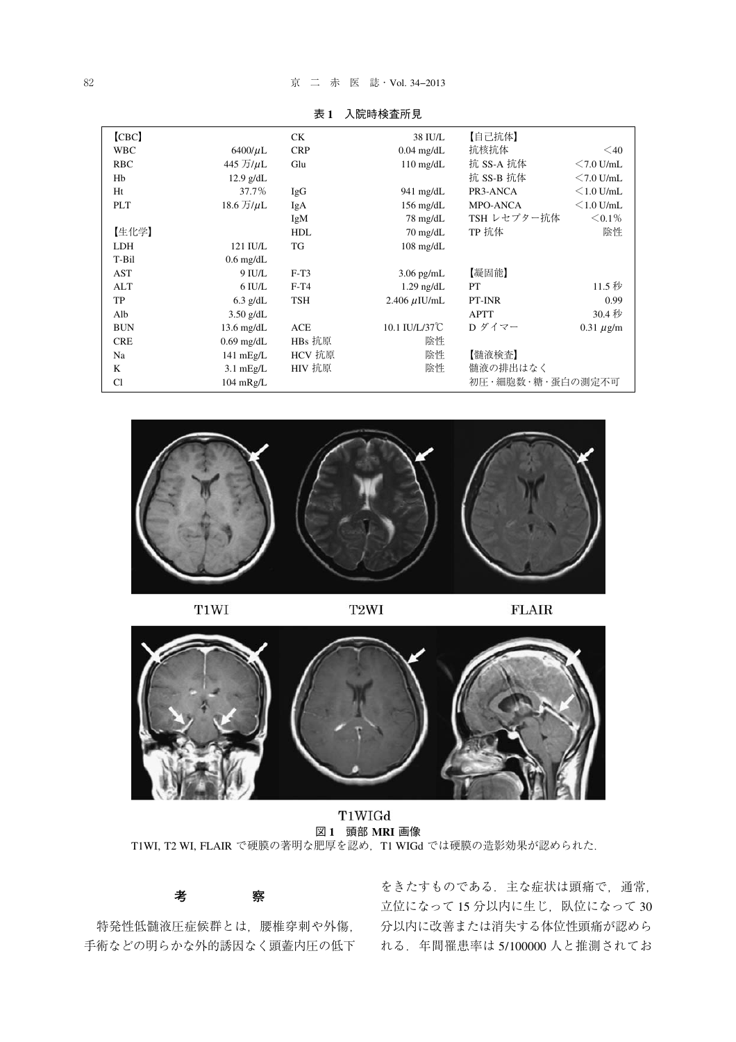#### 82 **京 二 赤 医 誌 · Vol. 34−2013**

| [CBC]      |                      | CK.        | 38 IU/L             | 【自己抗体】           |                 |
|------------|----------------------|------------|---------------------|------------------|-----------------|
| <b>WBC</b> | $6400/\mu L$         | <b>CRP</b> | $0.04$ mg/dL        | 抗核抗体             | $\leq 40$       |
| <b>RBC</b> | 445 万/µL             | Glu        | $110 \text{ mg/dL}$ | 抗 SS-A 抗体        | $<$ 7.0 U/mL    |
| Hb         | $12.9$ g/dL          |            |                     | 抗 SS-B 抗体        | $<$ 7.0 U/mL    |
| Ht         | 37.7%                | IgG        | $941 \text{ mg/dL}$ | PR3-ANCA         | $\leq$ 1.0 U/mL |
| <b>PLT</b> | $18.6$ 万/ $\mu$ L    | IgA        | $156 \text{ mg/dL}$ | <b>MPO-ANCA</b>  | $\leq$ 1.0 U/mL |
|            |                      | IgM        | $78 \text{ mg/dL}$  | TSH レセプター抗体      | $< 0.1\%$       |
| 【生化学】      |                      | <b>HDL</b> | $70 \text{ mg/dL}$  | TP 抗体            | 陰性              |
| <b>LDH</b> | 121 IU/L             | TG         | $108$ mg/dL         |                  |                 |
| T-Bil      | $0.6$ mg/dL          |            |                     |                  |                 |
| AST        | 9 IU/L               | $F-T3$     | $3.06$ pg/mL        | 【凝固能】            |                 |
| ALT        | $6$ IU/L             | $F-T4$     | $1.29$ ng/dL        | PT               | 11.5 秒          |
| TP         | $6.3$ g/dL           | <b>TSH</b> | $2.406 \mu$ IU/mL   | PT-INR           | 0.99            |
| Alb        | $3.50$ g/dL          |            |                     | <b>APTT</b>      | 30.4 秒          |
| <b>BUN</b> | $13.6 \text{ mg/dL}$ | ACE        | 10.1 IU/L/37°C      | D ダイマー           | $0.31 \mu$ g/m  |
| <b>CRE</b> | $0.69$ mg/dL         | HBs 抗原     | 陰性                  |                  |                 |
| Na         | $141$ mEg/L          | HCV 抗原     | 陰性                  | 【髄液検査】           |                 |
| K          | $3.1 \text{ mEg/L}$  | HIV 抗原     | 陰性                  | 髄液の排出はなく         |                 |
| Cl         | $104$ mRg/L          |            |                     | 初圧・細胞数・糖・蛋白の測定不可 |                 |

表 **1** 入院時検査所見



T1WI

T<sub>2</sub>WI

 $FLAIR$ 



T1WIGd 図 **1** 頭部 **MRI** 画像 T1WI, T2 WI, FLAIR で硬膜の著明な肥厚を認め、T1 WIGd では硬膜の造影効果が認められた.

## **考 察**

特発性低髄液圧症候群とは,腰椎穿刺や外傷,

手術などの明らかな外的誘因なく頭蓋内圧の低下 れる.年間罹患率は 5/100000 人と推測されてお をきたすものである. 主な症状は頭痛で、通常, 立位になって 15 分以内に生じ、臥位になって 30 分以内に改善または消失する体位性頭痛が認めら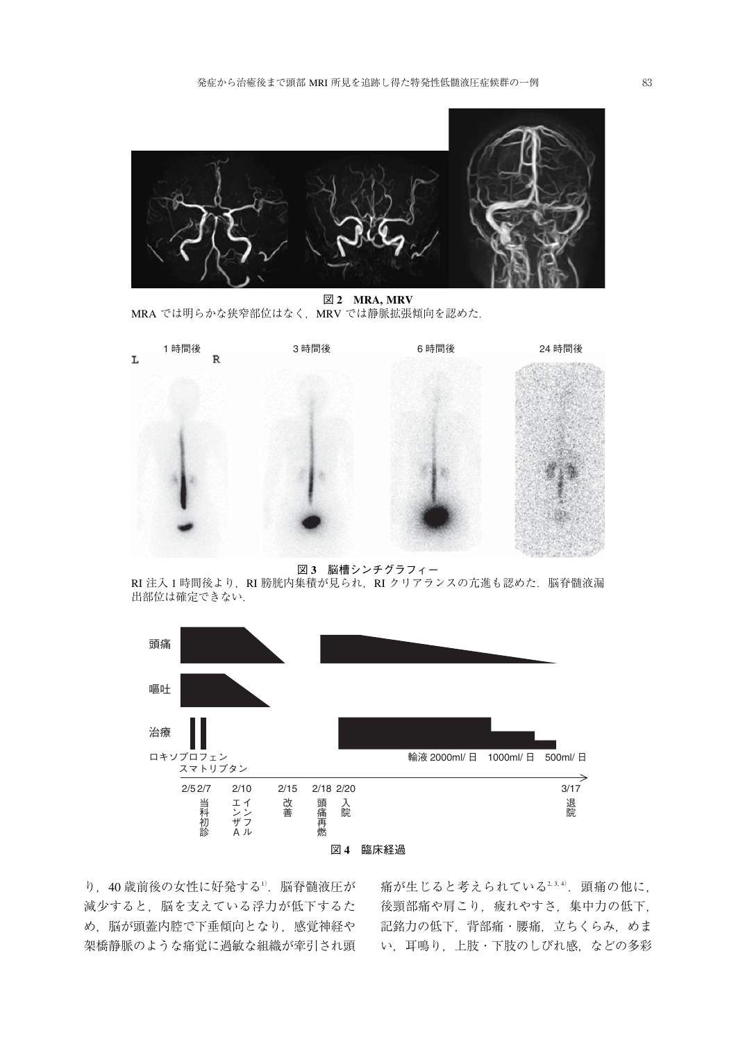

図 **2 MRA, MRV** MRA では明らかな狭窄部位はなく、MRV では静脈拡張傾向を認めた.



図 **3** 脳槽シンチグラフィー

RI 注入 1 時間後より,RI 膀胱内集積が見られ,RI クリアランスの亢進も認めた.脳脊髄液漏 出部位は確定できない.



り,40 歳前後の女性に好発する<sup>1</sup>) .脳脊髄液圧が 減少すると,脳を支えている浮力が低下するた め、脳が頭蓋内腔で下垂傾向となり、感覚神経や 架橋静脈のような痛覚に過敏な組織が牽引され頭

痛が生じると考えられている2,3,4). 頭痛の他に, 後頸部痛や肩こり, 疲れやすさ, 集中力の低下, 記銘力の低下,背部痛・腰痛,立ちくらみ,めま い,耳鳴り,上肢・下肢のしびれ感,などの多彩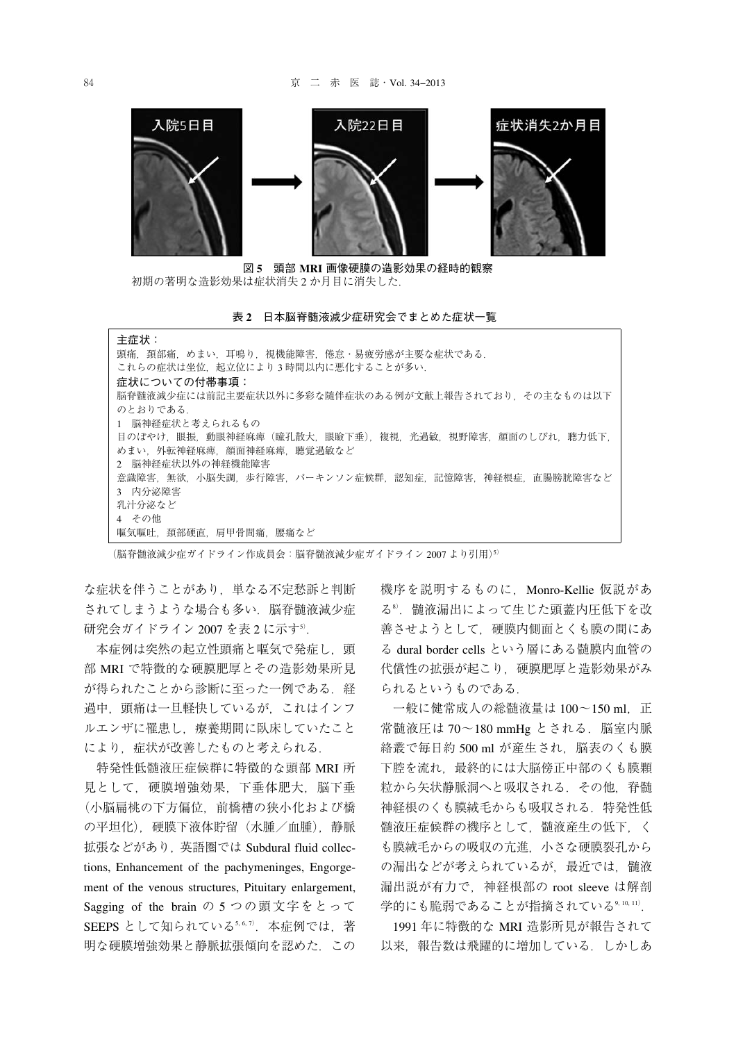

図 **5** 頭部 **MRI** 画像硬膜の造影効果の経時的観察 初期の著明な造影効果は症状消失 2 か月目に消失した.

表 **2** 日本脳脊髄液減少症研究会でまとめた症状一覧

| 主症状:                                                |  |  |  |  |
|-----------------------------------------------------|--|--|--|--|
| 頭痛.頚部痛.めまい.耳鳴り.視機能障害.倦怠・易疲労感が主要な症状である.              |  |  |  |  |
| これらの症状は坐位、起立位により3時間以内に悪化することが多い.                    |  |  |  |  |
| 症状についての付帯事項:                                        |  |  |  |  |
| 脳脊髄液減少症には前記主要症状以外に多彩な随伴症状のある例が文献上報告されており、その主なものは以下  |  |  |  |  |
| のとおりである.                                            |  |  |  |  |
| 1 脳神経症状と考えられるもの                                     |  |  |  |  |
| 目のぼやけ.眼振.動眼神経麻痺(瞳孔散大.眼瞼下垂).複視.光過敏.視野障害.顔面のしびれ.聴力低下. |  |  |  |  |
| めまい.外転神経麻痺.顔面神経麻痺.聴覚過敏など                            |  |  |  |  |
| 2 脳神経症状以外の神経機能障害                                    |  |  |  |  |
| 意識障害.無欲.小脳失調.歩行障害.パーキンソン症候群.認知症.記憶障害.神経根症.直腸膀胱障害など  |  |  |  |  |
| 3 内分泌障害                                             |  |  |  |  |
| 乳汁分泌など                                              |  |  |  |  |
| 4 その他                                               |  |  |  |  |
| 嘔気嘔吐,頚部硬直,肩甲骨間痛,腰痛など                                |  |  |  |  |

(脳脊髄液減少症ガイドライン作成員会:脳脊髄液減少症ガイドライン 2007 より引用)<sup>5</sup>)

な症状を伴うことがあり,単なる不定愁訴と判断 されてしまうような場合も多い. 脳脊髄液減少症 研究会ガイドライン 2007 を表 2 に示す<sup>5)</sup>.

本症例は突然の起立性頭痛と嘔気で発症し、頭 部 MRI で特徴的な硬膜肥厚とその造影効果所見 が得られたことから診断に至った一例である. 経 過中,頭痛は一旦軽快しているが,これはインフ ルエンザに罹患し,療養期間に臥床していたこと により,症状が改善したものと考えられる.

特発性低髄液圧症候群に特徴的な頭部 MRI 所 見として,硬膜増強効果,下垂体肥大,脳下垂 (小脳扁桃の下方偏位,前橋槽の狭小化および橋 の平坦化),硬膜下液体貯留(水腫/血腫),静脈 拡張などがあり,英語圏では Subdural fluid collections, Enhancement of the pachymeninges, Engorgement of the venous structures, Pituitary enlargement, Sagging of the brain の 5 つの頭文字をとって SEEPS として知られている5,6,7).本症例では,著 明な硬膜増強効果と静脈拡張傾向を認めた.この

機序を説明するものに,Monro-Kellie 仮説があ る<sup>8</sup>) .髄液漏出によって生じた頭蓋内圧低下を改 善させようとして,硬膜内側面とくも膜の間にあ る dural border cells という層にある髄膜内血管の 代償性の拡張が起こり、硬膜肥厚と造影効果がみ られるというものである.

一般に健常成人の総髄液量は 100~150 ml, 正 常髄液圧は 70~180 mmHg とされる. 脳室内脈 絡叢で毎日約 500 ml が産生され, 脳表のくも膜 下腔を流れ,最終的には大脳傍正中部のくも膜顆 粒から矢状静脈洞へと吸収される.その他,脊髄 神経根のくも膜絨毛からも吸収される. 特発性低 髄液圧症候群の機序として,髄液産生の低下,く も膜絨毛からの吸収の亢進,小さな硬膜裂孔から の漏出などが考えられているが、最近では、髄液 漏出説が有力で,神経根部の root sleeve は解剖 学的にも脆弱であることが指摘されている<sup>9, 10, 11)</sup>.

1991 年に特徴的な MRI 造影所見が報告されて 以来,報告数は飛躍的に増加している.しかしあ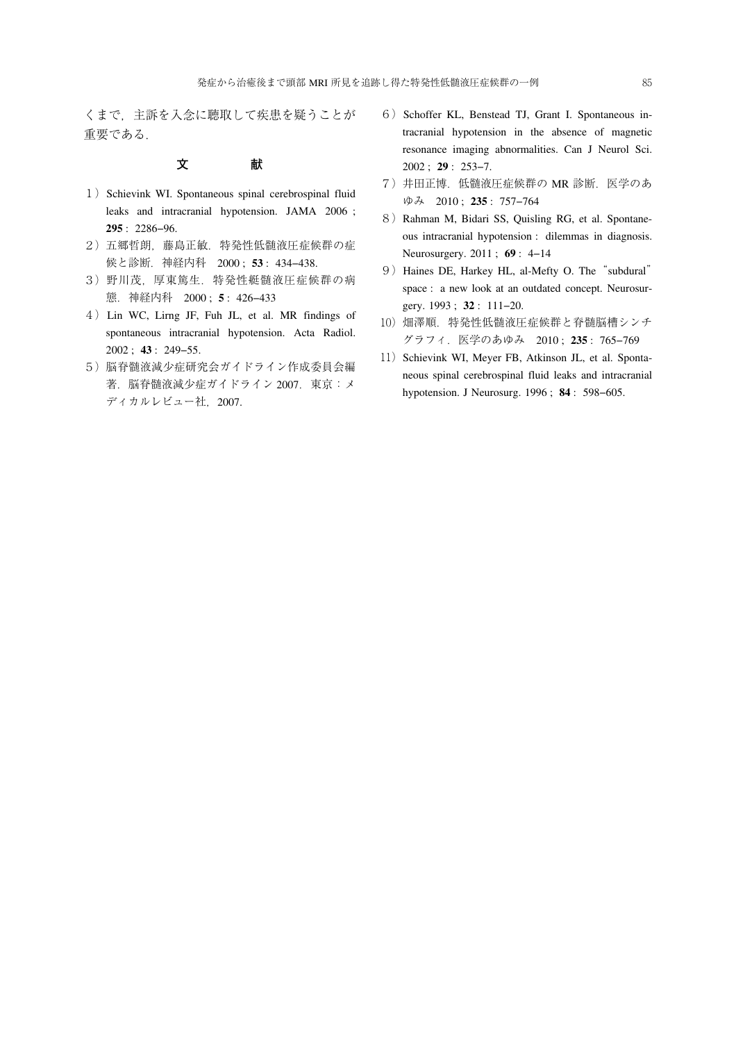くまで,主訴を入念に聴取して疾患を疑うことが 重要である.

### **文 献**

- 1) Schievink WI. Spontaneous spinal cerebrospinal fluid leaks and intracranial hypotension. JAMA 2006 ; **295** : 2286−96.
- 2) 五郷哲朗, 藤島正敏. 特発性低髄液圧症候群の症 候と診断.神経内科 2000 ; **53** : 434−438.
- 3)野川茂,厚東篤生.特発性艇髄液圧症候群の病 態.神経内科 2000 ; **5** : 426−433
- 4)Lin WC, Lirng JF, Fuh JL, et al. MR findings of spontaneous intracranial hypotension. Acta Radiol. 2002 ; **43** : 249−55.
- 5) 脳脊髄液減少症研究会ガイドライン作成委員会編 著.脳脊髄液減少症ガイドライン 2007.東京:メ ディカルレビュー社, 2007.
- 6) Schoffer KL, Benstead TJ, Grant I. Spontaneous intracranial hypotension in the absence of magnetic resonance imaging abnormalities. Can J Neurol Sci. 2002 ; **29** : 253−7.
- 7)井田正博.低髄液圧症候群の MR 診断.医学のあ ゆみ 2010 ; **235** : 757−764
- 8) Rahman M, Bidari SS, Quisling RG, et al. Spontaneous intracranial hypotension : dilemmas in diagnosis. Neurosurgery. 2011 ; **69** : 4−14
- 9) Haines DE, Harkey HL, al-Mefty O. The "subdural" space : a new look at an outdated concept. Neurosurgery. 1993 ; **32** : 111−20.
- 10) 畑澤順. 特発性低髄液圧症候群と脊髄脳槽シンチ グラフィ.医学のあゆみ 2010 ; **235** : 765−769
- 11) Schievink WI, Meyer FB, Atkinson JL, et al. Spontaneous spinal cerebrospinal fluid leaks and intracranial hypotension. J Neurosurg. 1996 ; **84** : 598−605.